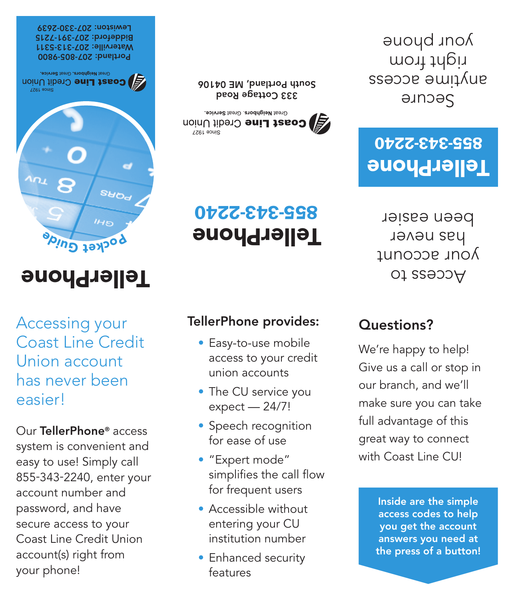Secure anytime access right from your phone





333 Cottage Road South Portland, ME 04106

2240 - 343 - 855

TellerPhone

9800 - 805 - Portland: 207 Waterville: 207-313-5311 7215 - 391 - Biddeford: 207 Fewiston: 207-330-2639

Great Neighbors, Great Service, **B** Coast Line Credit Union



TellerPhone

Accessing your Coast Line Credit Union account has never been easier!

Our TellerPhone® access system is convenient and easy to use! Simply call 855-343-2240, enter your account number and password, and have secure access to your Coast Line Credit Union account(s) right from your phone!

# TellerPhone provides:

- Easy-to-use mobile access to your credit union accounts
- The CU service you expect — 24/7!
- Speech recognition for ease of use
- • "Expert mode" simplifies the call flow for frequent users
- • Accessible without entering your CU institution number
- Enhanced security features

## 2240 - 343 - 855 TellerPhone

Access to your account has never been easier

### Questions?

We're happy to help! Give us a call or stop in our branch, and we'll make sure you can take full advantage of this great way to connect with Coast Line CU!

> Inside are the simple access codes to help you get the account answers you need at the press of a button!